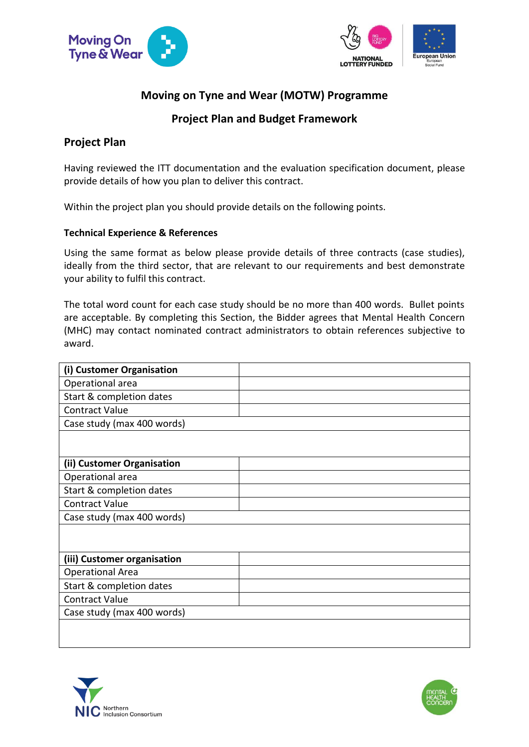



# **Moving on Tyne and Wear (MOTW) Programme**

# **Project Plan and Budget Framework**

## **Project Plan**

Having reviewed the ITT documentation and the evaluation specification document, please provide details of how you plan to deliver this contract.

Within the project plan you should provide details on the following points.

## **Technical Experience & References**

Using the same format as below please provide details of three contracts (case studies), ideally from the third sector, that are relevant to our requirements and best demonstrate your ability to fulfil this contract.

The total word count for each case study should be no more than 400 words. Bullet points are acceptable. By completing this Section, the Bidder agrees that Mental Health Concern (MHC) may contact nominated contract administrators to obtain references subjective to award.

| (i) Customer Organisation   |
|-----------------------------|
| Operational area            |
| Start & completion dates    |
| <b>Contract Value</b>       |
| Case study (max 400 words)  |
|                             |
| (ii) Customer Organisation  |
| Operational area            |
| Start & completion dates    |
| <b>Contract Value</b>       |
| Case study (max 400 words)  |
|                             |
|                             |
| (iii) Customer organisation |
| <b>Operational Area</b>     |
| Start & completion dates    |
| <b>Contract Value</b>       |
| Case study (max 400 words)  |
|                             |



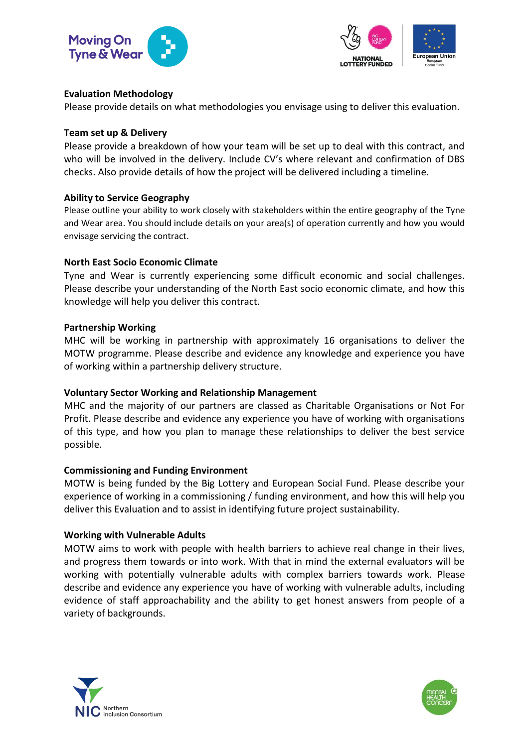



## **Evaluation Methodology**

Please provide details on what methodologies you envisage using to deliver this evaluation.

#### **Team set up & Delivery**

Please provide a breakdown of how your team will be set up to deal with this contract, and who will be involved in the delivery. Include CV's where relevant and confirmation of DBS checks. Also provide details of how the project will be delivered including a timeline.

#### **Ability to Service Geography**

Please outline your ability to work closely with stakeholders within the entire geography of the Tyne and Wear area. You should include details on your area(s) of operation currently and how you would envisage servicing the contract.

#### **North East Socio Economic Climate**

Tyne and Wear is currently experiencing some difficult economic and social challenges. Please describe your understanding of the North East socio economic climate, and how this knowledge will help you deliver this contract.

#### **Partnership Working**

MHC will be working in partnership with approximately 16 organisations to deliver the MOTW programme. Please describe and evidence any knowledge and experience you have of working within a partnership delivery structure.

#### **Voluntary Sector Working and Relationship Management**

MHC and the majority of our partners are classed as Charitable Organisations or Not For Profit. Please describe and evidence any experience you have of working with organisations of this type, and how you plan to manage these relationships to deliver the best service possible.

#### **Commissioning and Funding Environment**

MOTW is being funded by the Big Lottery and European Social Fund. Please describe your experience of working in a commissioning / funding environment, and how this will help you deliver this Evaluation and to assist in identifying future project sustainability.

#### **Working with Vulnerable Adults**

MOTW aims to work with people with health barriers to achieve real change in their lives, and progress them towards or into work. With that in mind the external evaluators will be working with potentially vulnerable adults with complex barriers towards work. Please describe and evidence any experience you have of working with vulnerable adults, including evidence of staff approachability and the ability to get honest answers from people of a variety of backgrounds.